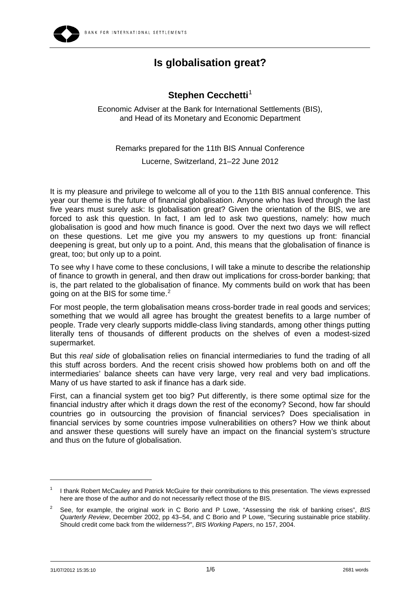

## **Is globalisation great?**

## **Stephen Cecchetti**<sup>[1](#page-0-0)</sup>

Economic Adviser at the Bank for International Settlements (BIS), and Head of its Monetary and Economic Department

Remarks prepared for the 11th BIS Annual Conference Lucerne, Switzerland, 21–22 June 2012

It is my pleasure and privilege to welcome all of you to the 11th BIS annual conference. This year our theme is the future of financial globalisation. Anyone who has lived through the last five years must surely ask: Is globalisation great? Given the orientation of the BIS, we are forced to ask this question. In fact, I am led to ask two questions, namely: how much globalisation is good and how much finance is good. Over the next two days we will reflect on these questions. Let me give you my answers to my questions up front: financial deepening is great, but only up to a point. And, this means that the globalisation of finance is great, too; but only up to a point.

To see why I have come to these conclusions, I will take a minute to describe the relationship of finance to growth in general, and then draw out implications for cross-border banking; that is, the part related to the globalisation of finance. My comments build on work that has been going on at the BIS for some time.<sup>[2](#page-0-1)</sup>

For most people, the term globalisation means cross-border trade in real goods and services; something that we would all agree has brought the greatest benefits to a large number of people. Trade very clearly supports middle-class living standards, among other things putting literally tens of thousands of different products on the shelves of even a modest-sized supermarket.

But this *real side* of globalisation relies on financial intermediaries to fund the trading of all this stuff across borders. And the recent crisis showed how problems both on and off the intermediaries' balance sheets can have very large, very real and very bad implications. Many of us have started to ask if finance has a dark side.

First, can a financial system get too big? Put differently, is there some optimal size for the financial industry after which it drags down the rest of the economy? Second, how far should countries go in outsourcing the provision of financial services? Does specialisation in financial services by some countries impose vulnerabilities on others? How we think about and answer these questions will surely have an impact on the financial system's structure and thus on the future of globalisation.

 $\overline{a}$ 

<span id="page-0-0"></span><sup>1</sup> I thank Robert McCauley and Patrick McGuire for their contributions to this presentation. The views expressed here are those of the author and do not necessarily reflect those of the BIS.

<span id="page-0-1"></span> $\overline{2}$  See, for example, the original work in C Borio and P Lowe, "Assessing the risk of banking crises", *BIS Quarterly Review*, December 2002, pp 43–54, and C Borio and P Lowe, "Securing sustainable price stability. Should credit come back from the wilderness?", *BIS Working Papers*, no 157, 2004.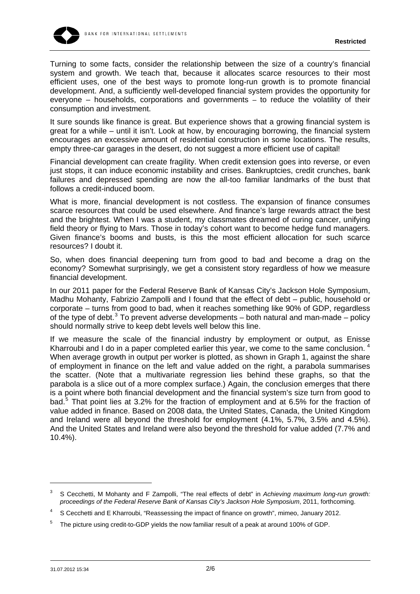

Turning to some facts, consider the relationship between the size of a country's financial system and growth. We teach that, because it allocates scarce resources to their most efficient uses, one of the best ways to promote long-run growth is to promote financial development. And, a sufficiently well-developed financial system provides the opportunity for everyone – households, corporations and governments – to reduce the volatility of their consumption and investment.

It sure sounds like finance is great. But experience shows that a growing financial system is great for a while – until it isn't. Look at how, by encouraging borrowing, the financial system encourages an excessive amount of residential construction in some locations. The results, empty three-car garages in the desert, do not suggest a more efficient use of capital!

Financial development can create fragility. When credit extension goes into reverse, or even just stops, it can induce economic instability and crises. Bankruptcies, credit crunches, bank failures and depressed spending are now the all-too familiar landmarks of the bust that follows a credit-induced boom.

What is more, financial development is not costless. The expansion of finance consumes scarce resources that could be used elsewhere. And finance's large rewards attract the best and the brightest. When I was a student, my classmates dreamed of curing cancer, unifying field theory or flying to Mars. Those in today's cohort want to become hedge fund managers. Given finance's booms and busts, is this the most efficient allocation for such scarce resources? I doubt it.

So, when does financial deepening turn from good to bad and become a drag on the economy? Somewhat surprisingly, we get a consistent story regardless of how we measure financial development.

In our 2011 paper for the Federal Reserve Bank of Kansas City's Jackson Hole Symposium, Madhu Mohanty, Fabrizio Zampolli and I found that the effect of debt – public, household or corporate – turns from good to bad, when it reaches something like 90% of GDP, regardless of the type of debt.<sup>[3](#page-1-0)</sup> To prevent adverse developments  $-$  both natural and man-made  $-$  policy should normally strive to keep debt levels well below this line.

If we measure the scale of the financial industry by employment or output, as Enisse Kharroubi and I do in a paper completed earlier this year, we come to the same conclusion. When average growth in output per worker is plotted, as shown in Graph 1, against the share of employment in finance on the left and value added on the right, a parabola summarises the scatter. (Note that a multivariate regression lies behind these graphs, so that the parabola is a slice out of a more complex surface.) Again, the conclusion emerges that there is a point where both financial development and the financial system's size turn from good to bad.<sup>[5](#page-1-2)</sup> That point lies at 3.2% for the fraction of employment and at 6.5% for the fraction of value added in finance. Based on 2008 data, the United States, Canada, the United Kingdom and Ireland were all beyond the threshold for employment (4.1%, 5.7%, 3.5% and 4.5%). And the United States and Ireland were also beyond the threshold for value added (7.7% and 10.4%).

<span id="page-1-0"></span><sup>3</sup> S Cecchetti, M Mohanty and F Zampolli, "The real effects of debt" in *Achieving maximum long-run growth: proceedings of the Federal Reserve Bank of Kansas City's Jackson Hole Symposium*, 2011, forthcoming.

<span id="page-1-1"></span><sup>4</sup> S Cecchetti and E Kharroubi, "Reassessing the impact of finance on growth", mimeo, January 2012.

<span id="page-1-2"></span><sup>5</sup> The picture using credit-to-GDP yields the now familiar result of a peak at around 100% of GDP.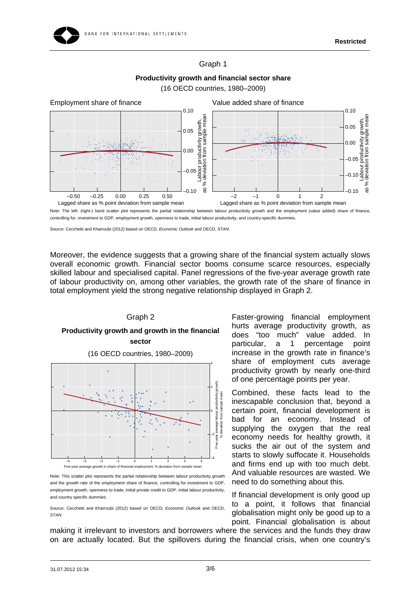### Graph 1

## **Productivity growth and financial sector share**



(16 OECD countries, 1980–2009)

Source: Cecchetti and Kharroubi (2012) based on OECD, *Economic Outlook* and OECD, *STAN*.

Moreover, the evidence suggests that a growing share of the financial system actually slows overall economic growth. Financial sector booms consume scarce resources, especially skilled labour and specialised capital. Panel regressions of the five-year average growth rate of labour productivity on, among other variables, the growth rate of the share of finance in total employment yield the strong negative relationship displayed in Graph 2.

# Graph 2 **Productivity growth and growth in the financial sector**  (16 OECD countries, 1980–2009) 4



Note: This scatter plot represents the partial relationship between labour productivity growth and the growth rate of the employment share of finance, controlling for investment to GDP, employment growth, openness to trade, initial private credit to GDP, initial labour productivity, and country specific dummies.

Source: Cecchetti and Kharroubi (2012) based on OECD, *Economic Outlook* and OECD, *STAN*.

Faster-growing financial employment hurts average productivity growth, as does "too much" value added. In particular, a 1 percentage point increase in the growth rate in finance's share of employment cuts average productivity growth by nearly one-third of one percentage points per year.

Combined, these facts lead to the inescapable conclusion that, beyond a certain point, financial development is bad for an economy. Instead of supplying the oxygen that the real economy needs for healthy growth, it sucks the air out of the system and starts to slowly suffocate it. Households and firms end up with too much debt. And valuable resources are wasted. We need to do something about this.

If financial development is only good up to a point, it follows that financial globalisation might only be good up to a point. Financial globalisation is about

making it irrelevant to investors and borrowers where the services and the funds they draw on are actually located. But the spillovers during the financial crisis, when one country's

Note: The left- (right-) hand scatter plot represents the partial relationship between labour productivity growth and the employment (value added) share of finance, controlling for, investment to GDP, employment growth, openness to trade, initial labour productivity, and country-specific dummies.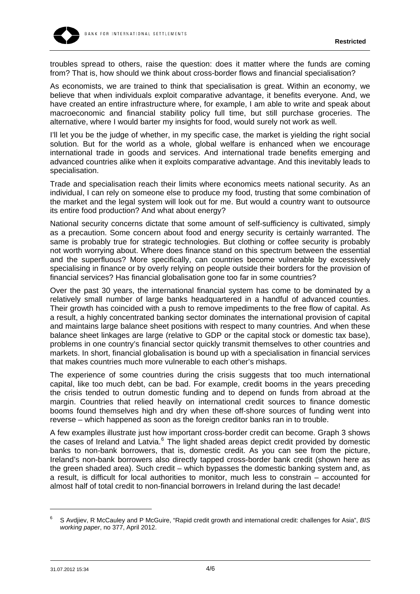troubles spread to others, raise the question: does it matter where the funds are coming from? That is, how should we think about cross-border flows and financial specialisation?

As economists, we are trained to think that specialisation is great. Within an economy, we believe that when individuals exploit comparative advantage, it benefits everyone. And, we have created an entire infrastructure where, for example, I am able to write and speak about macroeconomic and financial stability policy full time, but still purchase groceries. The alternative, where I would barter my insights for food, would surely not work as well.

I'll let you be the judge of whether, in my specific case, the market is yielding the right social solution. But for the world as a whole, global welfare is enhanced when we encourage international trade in goods and services. And international trade benefits emerging and advanced countries alike when it exploits comparative advantage. And this inevitably leads to specialisation.

Trade and specialisation reach their limits where economics meets national security. As an individual, I can rely on someone else to produce my food, trusting that some combination of the market and the legal system will look out for me. But would a country want to outsource its entire food production? And what about energy?

National security concerns dictate that some amount of self-sufficiency is cultivated, simply as a precaution. Some concern about food and energy security is certainly warranted. The same is probably true for strategic technologies. But clothing or coffee security is probably not worth worrying about. Where does finance stand on this spectrum between the essential and the superfluous? More specifically, can countries become vulnerable by excessively specialising in finance or by overly relying on people outside their borders for the provision of financial services? Has financial globalisation gone too far in some countries?

Over the past 30 years, the international financial system has come to be dominated by a relatively small number of large banks headquartered in a handful of advanced counties. Their growth has coincided with a push to remove impediments to the free flow of capital. As a result, a highly concentrated banking sector dominates the international provision of capital and maintains large balance sheet positions with respect to many countries. And when these balance sheet linkages are large (relative to GDP or the capital stock or domestic tax base), problems in one country's financial sector quickly transmit themselves to other countries and markets. In short, financial globalisation is bound up with a specialisation in financial services that makes countries much more vulnerable to each other's mishaps.

The experience of some countries during the crisis suggests that too much international capital, like too much debt, can be bad. For example, credit booms in the years preceding the crisis tended to outrun domestic funding and to depend on funds from abroad at the margin. Countries that relied heavily on international credit sources to finance domestic booms found themselves high and dry when these off-shore sources of funding went into reverse – which happened as soon as the foreign creditor banks ran in to trouble.

A few examples illustrate just how important cross-border credit can become. Graph 3 shows the cases of Ireland and Latvia.<sup>[6](#page-3-0)</sup> The light shaded areas depict credit provided by domestic banks to non-bank borrowers, that is, domestic credit. As you can see from the picture, Ireland's non-bank borrowers also directly tapped cross-border bank credit (shown here as the green shaded area). Such credit – which bypasses the domestic banking system and, as a result, is difficult for local authorities to monitor, much less to constrain – accounted for almost half of total credit to non-financial borrowers in Ireland during the last decade!

<span id="page-3-0"></span><sup>6</sup> S Avdjiev, R McCauley and P McGuire, "Rapid credit growth and international credit: challenges for Asia", *BIS working paper*, no 377, April 2012.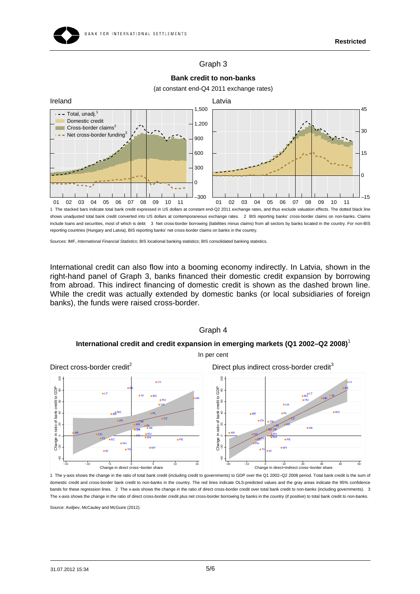### Graph 3



**Bank credit to non-banks**  (at constant end-Q4 2011 exchange rates)

1 The stacked bars indicate total bank credit expressed in US dollars at constant end-Q2 2011 exchange rates, and thus exclude valuation effects. The dotted black line shows unadjusted total bank credit converted into US dollars at contemporaneous exchange rates. 2 BIS reporting banks' cross-border claims on non-banks. Claims include loans and securities, most of which is debt 3 Net cross-border borrowing (liabilities minus claims) from all sectors by banks located in the country. For non-BIS reporting countries (Hungary and Latvia), BIS reporting banks' net cross-border claims on banks in the country.

Sources: IMF, *International Financial Statistics*; BIS locational banking statistics; BIS consolidated banking statistics.

CZ

PE

KR OIN

TR TW

> MX MY

RU SA

SK

International credit can also flow into a booming economy indirectly. In Latvia, shown in the right-hand panel of Graph 3, banks financed their domestic credit expansion by borrowing from abroad. This indirect financing of domestic credit is shown as the dashed brown line. While the credit was actually extended by domestic banks (or local subsidiaries of foreign banks), the funds were raised cross-border.



E Change in

g

AR

CO CLI<sup>S</sup>

ZA

TH

ID

MX

RU SA

TR TW

EC

PH

CZ

−20 −10 0 10 20 30 40 50<br>Change in direct+indirect cross–border share

SK

IN KR

MY PE

#### Graph 4

1 The y-axis shows the change in the ratio of total bank credit (including credit to governments) to GDP over the Q1 2002–Q2 2008 period. Total bank credit is the sum of domestic credit and cross-border bank credit to non-banks in the country. The red lines indicate OLS-predicted values and the gray areas indicate the 95% confidence bands for these regression lines. 2 The x-axis shows the change in the ratio of direct cross-border credit over total bank credit to non-banks (including governments). 3 The x-axis shows the change in the ratio of direct cross-border credit plus net cross-border borrowing by banks in the country (if positive) to total bank credit to non-banks.

Source: Avdjiev, McCauley and McGuire (2012).

CO<br>OCL AFC COM

ZA

PH

TH

−15 −10 −5 0 5 10 15<br>Change in direct cross–border share

EC

ID

AR

−40 −20 0 20 40 60 80 100 Change in ratio of bank credit to GDP

 $\tilde{z}$ 

s.  $\tilde{ }$ Š

Change in ratio of bank credit to GDP

 $\mathbf{S}$